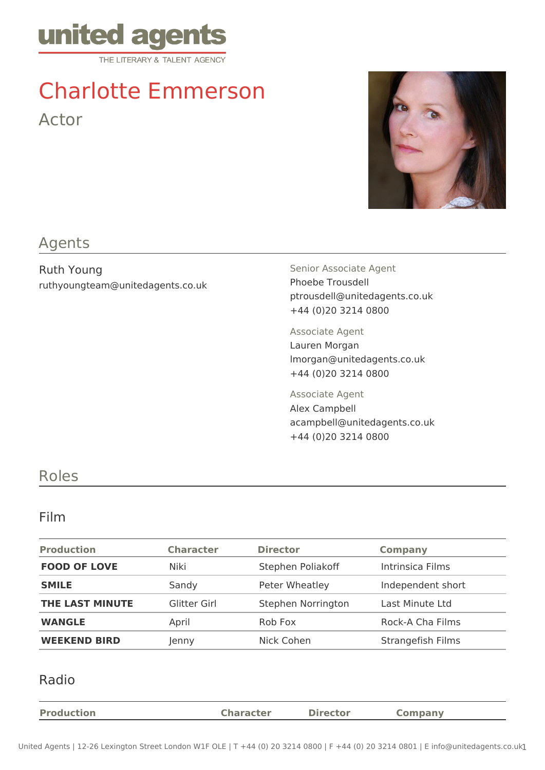

# Charlotte Emmerson Actor

## Agents

Ruth Young ruthyoungteam@unitedagents.co.uk Senior Associate Agent Phoebe Trousdell ptrousdell@unitedagents.co.uk +44 (0)20 3214 0800

Associate Agent Lauren Morgan lmorgan@unitedagents.co.uk +44 (0)20 3214 0800

Associate Agent Alex Campbell acampbell@unitedagents.co.uk +44 (0)20 3214 0800

### Roles

#### Film

| <b>Production</b>   | <b>Character</b> | <b>Director</b>    | <b>Company</b>    |
|---------------------|------------------|--------------------|-------------------|
| <b>FOOD OF LOVE</b> | Niki             | Stephen Poliakoff  | Intrinsica Films  |
| <b>SMILE</b>        | Sandy            | Peter Wheatley     | Independent short |
| THE LAST MINUTE     | Glitter Girl     | Stephen Norrington | Last Minute Ltd   |
| <b>WANGLE</b>       | April            | Rob Fox            | Rock-A Cha Films  |
| <b>WEEKEND BIRD</b> | Jenny            | Nick Cohen         | Strangefish Films |

#### Radio

| <b>Production</b> | <b>Character</b> | <b>Director</b> | Company |
|-------------------|------------------|-----------------|---------|
|                   |                  |                 |         |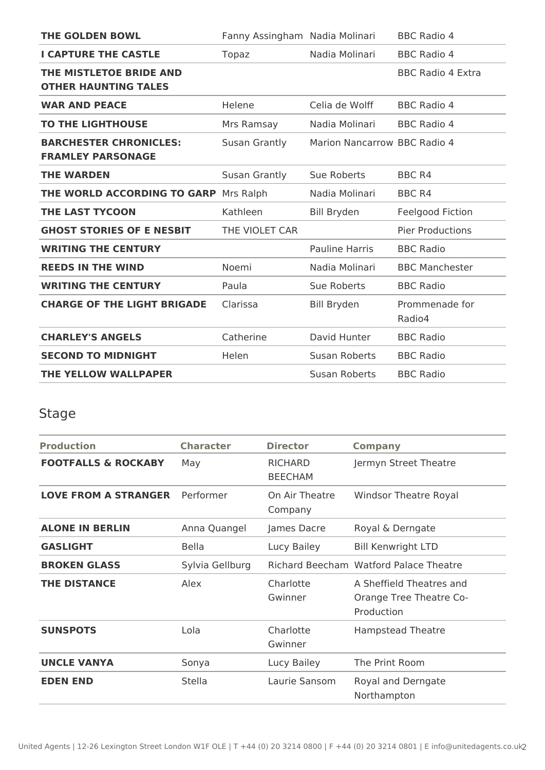| <b>THE GOLDEN BOWL</b>                                    | Fanny Assingham Nadia Molinari |                              | <b>BBC Radio 4</b>       |
|-----------------------------------------------------------|--------------------------------|------------------------------|--------------------------|
| <b>I CAPTURE THE CASTLE</b>                               | Topaz                          | Nadia Molinari               | <b>BBC Radio 4</b>       |
| THE MISTLETOE BRIDE AND<br><b>OTHER HAUNTING TALES</b>    |                                |                              | <b>BBC Radio 4 Extra</b> |
| <b>WAR AND PEACE</b>                                      | Helene                         | Celia de Wolff               | <b>BBC Radio 4</b>       |
| <b>TO THE LIGHTHOUSE</b>                                  | Mrs Ramsay                     | Nadia Molinari               | <b>BBC Radio 4</b>       |
| <b>BARCHESTER CHRONICLES:</b><br><b>FRAMLEY PARSONAGE</b> | Susan Grantly                  | Marion Nancarrow BBC Radio 4 |                          |
| <b>THE WARDEN</b>                                         | Susan Grantly                  | Sue Roberts                  | <b>BBC R4</b>            |
| THE WORLD ACCORDING TO GARP                               | Mrs Ralph                      | Nadia Molinari               | <b>BBC R4</b>            |
| <b>THE LAST TYCOON</b>                                    | Kathleen                       | <b>Bill Bryden</b>           | Feelgood Fiction         |
| <b>GHOST STORIES OF E NESBIT</b>                          | THE VIOLET CAR                 |                              | <b>Pier Productions</b>  |
| <b>WRITING THE CENTURY</b>                                |                                | <b>Pauline Harris</b>        | <b>BBC Radio</b>         |
| <b>REEDS IN THE WIND</b>                                  | Noemi                          | Nadia Molinari               | <b>BBC Manchester</b>    |
| <b>WRITING THE CENTURY</b>                                | Paula                          | <b>Sue Roberts</b>           | <b>BBC Radio</b>         |
| <b>CHARGE OF THE LIGHT BRIGADE</b>                        | Clarissa                       | <b>Bill Bryden</b>           | Prommenade for<br>Radio4 |
| <b>CHARLEY'S ANGELS</b>                                   | Catherine                      | David Hunter                 | <b>BBC Radio</b>         |
| <b>SECOND TO MIDNIGHT</b>                                 | Helen                          | Susan Roberts                | <b>BBC Radio</b>         |
| <b>THE YELLOW WALLPAPER</b>                               |                                | Susan Roberts                | <b>BBC Radio</b>         |

## Stage

| <b>Production</b>              | <b>Character</b> | <b>Director</b>                  | <b>Company</b>                                                    |
|--------------------------------|------------------|----------------------------------|-------------------------------------------------------------------|
| <b>FOOTFALLS &amp; ROCKABY</b> | May              | <b>RICHARD</b><br><b>BEECHAM</b> | Jermyn Street Theatre                                             |
| <b>LOVE FROM A STRANGER</b>    | Performer        | On Air Theatre<br>Company        | <b>Windsor Theatre Royal</b>                                      |
| <b>ALONE IN BERLIN</b>         | Anna Quangel     | James Dacre                      | Royal & Derngate                                                  |
| <b>GASLIGHT</b>                | <b>Bella</b>     | Lucy Bailey                      | <b>Bill Kenwright LTD</b>                                         |
| <b>BROKEN GLASS</b>            | Sylvia Gellburg  |                                  | Richard Beecham Watford Palace Theatre                            |
| <b>THE DISTANCE</b>            | Alex             | Charlotte<br>Gwinner             | A Sheffield Theatres and<br>Orange Tree Theatre Co-<br>Production |
| <b>SUNSPOTS</b>                | Lola             | Charlotte<br>Gwinner             | <b>Hampstead Theatre</b>                                          |
| <b>UNCLE VANYA</b>             | Sonya            | Lucy Bailey                      | The Print Room                                                    |
| <b>EDEN END</b>                | Stella           | Laurie Sansom                    | Royal and Derngate<br>Northampton                                 |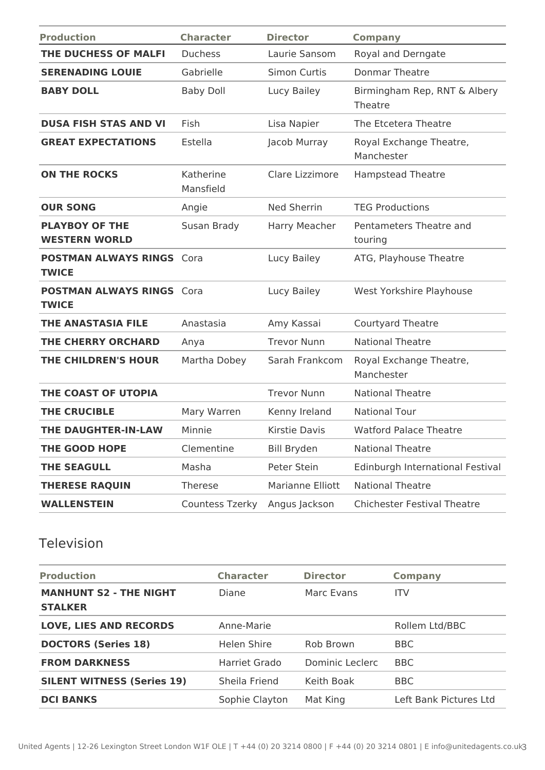| <b>Production</b>                                | <b>Character</b>       | <b>Director</b>      | <b>Company</b>                          |
|--------------------------------------------------|------------------------|----------------------|-----------------------------------------|
| THE DUCHESS OF MALFI                             | <b>Duchess</b>         | Laurie Sansom        | Royal and Derngate                      |
| <b>SERENADING LOUIE</b>                          | Gabrielle              | Simon Curtis         | <b>Donmar Theatre</b>                   |
| <b>BABY DOLL</b>                                 | <b>Baby Doll</b>       | Lucy Bailey          | Birmingham Rep, RNT & Albery<br>Theatre |
| <b>DUSA FISH STAS AND VI</b>                     | Fish                   | Lisa Napier          | The Etcetera Theatre                    |
| <b>GREAT EXPECTATIONS</b>                        | Estella                | Jacob Murray         | Royal Exchange Theatre,<br>Manchester   |
| <b>ON THE ROCKS</b>                              | Katherine<br>Mansfield | Clare Lizzimore      | <b>Hampstead Theatre</b>                |
| <b>OUR SONG</b>                                  | Angie                  | <b>Ned Sherrin</b>   | <b>TEG Productions</b>                  |
| <b>PLAYBOY OF THE</b><br><b>WESTERN WORLD</b>    | Susan Brady            | Harry Meacher        | Pentameters Theatre and<br>touring      |
| <b>POSTMAN ALWAYS RINGS Cora</b><br><b>TWICE</b> |                        | Lucy Bailey          | ATG, Playhouse Theatre                  |
| <b>POSTMAN ALWAYS RINGS Cora</b><br><b>TWICE</b> |                        | Lucy Bailey          | West Yorkshire Playhouse                |
| <b>THE ANASTASIA FILE</b>                        | Anastasia              | Amy Kassai           | <b>Courtyard Theatre</b>                |
| <b>THE CHERRY ORCHARD</b>                        | Anya                   | <b>Trevor Nunn</b>   | <b>National Theatre</b>                 |
| THE CHILDREN'S HOUR                              | Martha Dobey           | Sarah Frankcom       | Royal Exchange Theatre,<br>Manchester   |
| THE COAST OF UTOPIA                              |                        | <b>Trevor Nunn</b>   | <b>National Theatre</b>                 |
| <b>THE CRUCIBLE</b>                              | Mary Warren            | Kenny Ireland        | <b>National Tour</b>                    |
| THE DAUGHTER-IN-LAW                              | Minnie                 | <b>Kirstie Davis</b> | <b>Watford Palace Theatre</b>           |
| THE GOOD HOPE                                    | Clementine             | <b>Bill Bryden</b>   | <b>National Theatre</b>                 |
| <b>THE SEAGULL</b>                               | Masha                  | Peter Stein          | Edinburgh International Festival        |
| <b>THERESE RAQUIN</b>                            | Therese                | Marianne Elliott     | <b>National Theatre</b>                 |
| <b>WALLENSTEIN</b>                               | <b>Countess Tzerky</b> | Angus Jackson        | <b>Chichester Festival Theatre</b>      |

## Television

| <b>Production</b>                               | <b>Character</b> | <b>Director</b> | <b>Company</b>         |
|-------------------------------------------------|------------------|-----------------|------------------------|
| <b>MANHUNT S2 - THE NIGHT</b><br><b>STALKER</b> | Diane            | Marc Evans      | <b>ITV</b>             |
| <b>LOVE, LIES AND RECORDS</b>                   | Anne-Marie       |                 | Rollem Ltd/BBC         |
| <b>DOCTORS (Series 18)</b>                      | Helen Shire      | Rob Brown       | BBC                    |
| <b>FROM DARKNESS</b>                            | Harriet Grado    | Dominic Leclerc | <b>BBC</b>             |
| <b>SILENT WITNESS (Series 19)</b>               | Sheila Friend    | Keith Boak      | BBC                    |
| <b>DCI BANKS</b>                                | Sophie Clayton   | Mat King        | Left Bank Pictures Ltd |